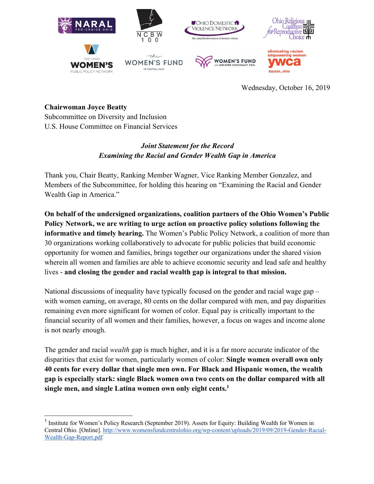

Wednesday, October 16, 2019

## **Chairwoman Joyce Beatty**

Subcommittee on Diversity and Inclusion U.S. House Committee on Financial Services

## *Joint Statement for the Record Examining the Racial and Gender Wealth Gap in America*

Thank you, Chair Beatty, Ranking Member Wagner, Vice Ranking Member Gonzalez, and Members of the Subcommittee, for holding this hearing on "Examining the Racial and Gender Wealth Gap in America."

**On behalf of the undersigned organizations, coalition partners of the Ohio Women's Public Policy Network, we are writing to urge action on proactive policy solutions following the informative and timely hearing.** The Women's Public Policy Network, a coalition of more than 30 organizations working collaboratively to advocate for public policies that build economic opportunity for women and families, brings together our organizations under the shared vision wherein all women and families are able to achieve economic security and lead safe and healthy lives - **and closing the gender and racial wealth gap is integral to that mission.**

National discussions of inequality have typically focused on the gender and racial wage gap – with women earning, on average, 80 cents on the dollar compared with men, and pay disparities remaining even more significant for women of color. Equal pay is critically important to the financial security of all women and their families, however, a focus on wages and income alone is not nearly enough.

The gender and racial *wealth* gap is much higher, and it is a far more accurate indicator of the disparities that exist for women, particularly women of color: **Single women overall own only 40 cents for every dollar that single men own. For Black and Hispanic women, the wealth gap is especially stark: single Black women own two cents on the dollar compared with all single men, and single Latina women own only eight cents.1**

<sup>&</sup>lt;sup>1</sup> Institute for Women's Policy Research (September 2019). Assets for Equity: Building Wealth for Women in Central Ohio. [Online]. http://www.womensfundcentralohio.org/wp-content/uploads/2019/09/2019-Gender-Racial-Wealth-Gap-Report.pdf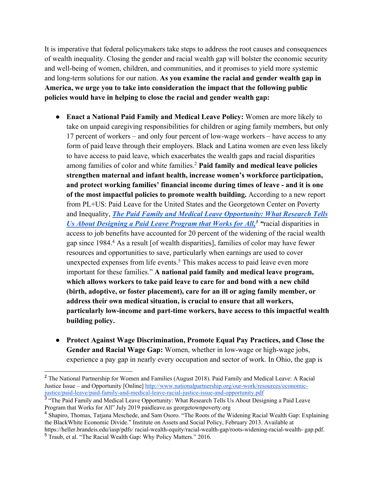It is imperative that federal policymakers take steps to address the root causes and consequences of wealth inequality. Closing the gender and racial wealth gap will bolster the economic security and well-being of women, children, and communities, and it promises to yield more systemic and long-term solutions for our nation. **As you examine the racial and gender wealth gap in America, we urge you to take into consideration the impact that the following public policies would have in helping to close the racial and gender wealth gap:**

- **Enact a National Paid Family and Medical Leave Policy:** Women are more likely to take on unpaid caregiving responsibilities for children or aging family members, but only 17 percent of workers – and only four percent of low-wage workers – have access to any form of paid leave through their employers. Black and Latina women are even less likely to have access to paid leave, which exacerbates the wealth gaps and racial disparities among families of color and white families.2 **Paid family and medical leave policies strengthen maternal and infant health, increase women's workforce participation, and protect working families' financial income during times of leave - and it is one of the most impactful policies to promote wealth building.** According to a new report from PL+US: Paid Leave for the United States and the Georgetown Center on Poverty and Inequality, *The Paid Family and Medical Leave Opportunity: What Research Tells Us About Designing a Paid Leave Program that Works for All,3 "*racial disparities in access to job benefits have accounted for 20 percent of the widening of the racial wealth gap since 1984.4 As a result [of wealth disparities], families of color may have fewer resources and opportunities to save, particularly when earnings are used to cover unexpected expenses from life events. $<sup>5</sup>$  This makes access to paid leave even more</sup> important for these families." **A national paid family and medical leave program, which allows workers to take paid leave to care for and bond with a new child (birth, adoptive, or foster placement), care for an ill or aging family member, or address their own medical situation, is crucial to ensure that all workers, particularly low-income and part-time workers, have access to this impactful wealth building policy.**
- **Protect Against Wage Discrimination, Promote Equal Pay Practices, and Close the Gender and Racial Wage Gap:** Women, whether in low-wage or high-wage jobs, experience a pay gap in nearly every occupation and sector of work. In Ohio, the gap is

<sup>&</sup>lt;sup>2</sup> The National Partnership for Women and Families (August 2018). Paid Family and Medical Leave: A Racial Justice Issue – and Opportunity [Online] http://www.nationalpartnership.org/our-work/resources/economicjustice/paid-leave/paid-family-and-medical-leave-racial-justice-issue-and-opportunity.pdf

<sup>&</sup>lt;sup>3</sup> "The Paid Family and Medical Leave Opportunity: What Research Tells Us About Designing a Paid Leave Program that Works for All" July 2019 paidleave.us georgetownpoverty.org

<sup>4</sup> Shapiro, Thomas, Tatjana Meschede, and Sam Osoro. "The Roots of the Widening Racial Wealth Gap: Explaining the BlackWhite Economic Divide." Institute on Assets and Social Policy, February 2013. Available at

https://heller.brandeis.edu/iasp/pdfs/ racial-wealth-equity/racial-wealth-gap/roots-widening-racial-wealth- gap.pdf. <sup>5</sup> Traub, et al. "The Racial Wealth Gap: Why Policy Matters." 2016.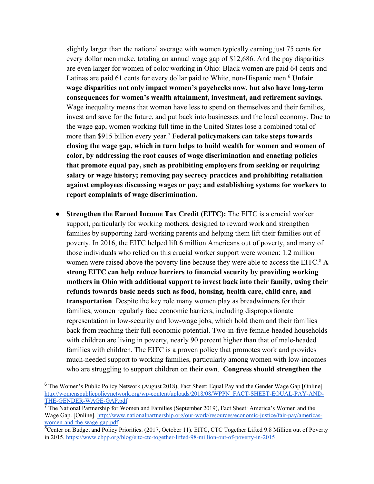slightly larger than the national average with women typically earning just 75 cents for every dollar men make, totaling an annual wage gap of \$12,686. And the pay disparities are even larger for women of color working in Ohio: Black women are paid 64 cents and Latinas are paid 61 cents for every dollar paid to White, non-Hispanic men.6 **Unfair wage disparities not only impact women's paychecks now, but also have long-term consequences for women's wealth attainment, investment, and retirement savings.** Wage inequality means that women have less to spend on themselves and their families, invest and save for the future, and put back into businesses and the local economy. Due to the wage gap, women working full time in the United States lose a combined total of more than \$915 billion every year.7 **Federal policymakers can take steps towards closing the wage gap, which in turn helps to build wealth for women and women of color, by addressing the root causes of wage discrimination and enacting policies that promote equal pay, such as prohibiting employers from seeking or requiring salary or wage history; removing pay secrecy practices and prohibiting retaliation against employees discussing wages or pay; and establishing systems for workers to report complaints of wage discrimination.** 

**Strengthen the Earned Income Tax Credit (EITC):** The EITC is a crucial worker support, particularly for working mothers, designed to reward work and strengthen families by supporting hard-working parents and helping them lift their families out of poverty. In 2016, the EITC helped lift 6 million Americans out of poverty, and many of those individuals who relied on this crucial worker support were women: 1.2 million women were raised above the poverty line because they were able to access the EITC.<sup>8</sup> A **strong EITC can help reduce barriers to financial security by providing working mothers in Ohio with additional support to invest back into their family, using their refunds towards basic needs such as food, housing, health care, child care, and transportation**. Despite the key role many women play as breadwinners for their families, women regularly face economic barriers, including disproportionate representation in low-security and low-wage jobs, which hold them and their families back from reaching their full economic potential. Two-in-five female-headed households with children are living in poverty, nearly 90 percent higher than that of male-headed families with children. The EITC is a proven policy that promotes work and provides much-needed support to working families, particularly among women with low-incomes who are struggling to support children on their own. **Congress should strengthen the** 

<sup>&</sup>lt;sup>6</sup> The Women's Public Policy Network (August 2018), Fact Sheet: Equal Pay and the Gender Wage Gap [Online] http://womenspublicpolicynetwork.org/wp-content/uploads/2018/08/WPPN\_FACT-SHEET-EQUAL-PAY-AND-THE-GENDER-WAGE-GAP.pdf

 $<sup>7</sup>$  The National Partnership for Women and Families (September 2019), Fact Sheet: America's Women and the</sup> Wage Gap. [Online]. http://www.nationalpartnership.org/our-work/resources/economic-justice/fair-pay/americaswomen-and-the-wage-gap.pdf

<sup>&</sup>lt;sup>8</sup>Center on Budget and Policy Priorities. (2017, October 11). EITC, CTC Together Lifted 9.8 Million out of Poverty in 2015. https://www.cbpp.org/blog/eitc-ctc-together-lifted-98-million-out-of-poverty-in-2015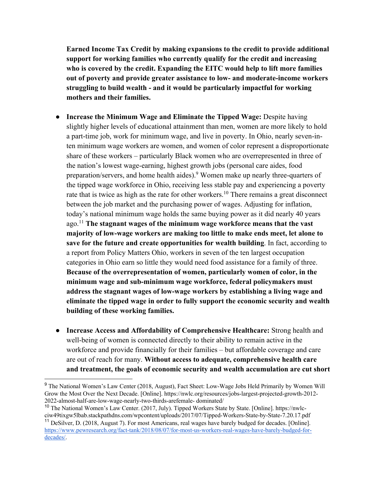**Earned Income Tax Credit by making expansions to the credit to provide additional support for working families who currently qualify for the credit and increasing who is covered by the credit. Expanding the EITC would help to lift more families out of poverty and provide greater assistance to low- and moderate-income workers struggling to build wealth - and it would be particularly impactful for working mothers and their families.**

- **Increase the Minimum Wage and Eliminate the Tipped Wage: Despite having** slightly higher levels of educational attainment than men, women are more likely to hold a part-time job, work for minimum wage, and live in poverty. In Ohio, nearly seven-inten minimum wage workers are women, and women of color represent a disproportionate share of these workers – particularly Black women who are overrepresented in three of the nation's lowest wage-earning, highest growth jobs (personal care aides, food preparation/servers, and home health aides).9 Women make up nearly three-quarters of the tipped wage workforce in Ohio, receiving less stable pay and experiencing a poverty rate that is twice as high as the rate for other workers.<sup>10</sup> There remains a great disconnect between the job market and the purchasing power of wages. Adjusting for inflation, today's national minimum wage holds the same buying power as it did nearly 40 years ago.11 **The stagnant wages of the minimum wage workforce means that the vast majority of low-wage workers are making too little to make ends meet, let alone to save for the future and create opportunities for wealth building**. In fact, according to a report from Policy Matters Ohio, workers in seven of the ten largest occupation categories in Ohio earn so little they would need food assistance for a family of three. **Because of the overrepresentation of women, particularly women of color, in the minimum wage and sub-minimum wage workforce, federal policymakers must address the stagnant wages of low-wage workers by establishing a living wage and eliminate the tipped wage in order to fully support the economic security and wealth building of these working families.**
- **Increase Access and Affordability of Comprehensive Healthcare:** Strong health and well-being of women is connected directly to their ability to remain active in the workforce and provide financially for their families – but affordable coverage and care are out of reach for many. **Without access to adequate, comprehensive health care and treatment, the goals of economic security and wealth accumulation are cut short**

<sup>&</sup>lt;sup>9</sup> The National Women's Law Center (2018, August), Fact Sheet: Low-Wage Jobs Held Primarily by Women Will Grow the Most Over the Next Decade. [Online]. https://nwlc.org/resources/jobs-largest-projected-growth-2012- 2022-almost-half-are-low-wage-nearly-two-thirds-arefemale- dominated/

<sup>&</sup>lt;sup>10</sup> The National Women's Law Center. (2017, July). Tipped Workers State by State. [Online]. https://nwlcciw49tixgw5lbab.stackpathdns.com/wpcontent/uploads/2017/07/Tipped-Workers-State-by-State-7.20.17.pdf

<sup>&</sup>lt;sup>11</sup> DeSilver, D. (2018, August 7). For most Americans, real wages have barely budged for decades. [Online]. https://www.pewresearch.org/fact-tank/2018/08/07/for-most-us-workers-real-wages-have-barely-budged-fordecades/.